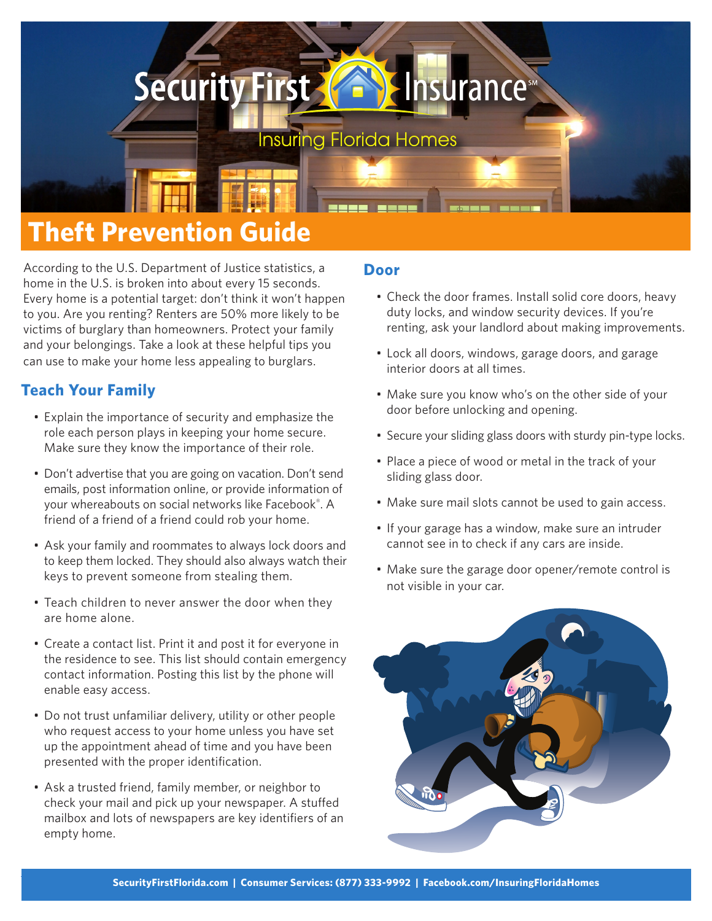# **Security First & SInsurance**

**Insuring Florida Homes** 

# **Theft Prevention Guide**

According to the U.S. Department of Justice statistics, a home in the U.S. is broken into about every 15 seconds. Every home is a potential target: don't think it won't happen to you. Are you renting? Renters are 50% more likely to be victims of burglary than homeowners. Protect your family and your belongings. Take a look at these helpful tips you can use to make your home less appealing to burglars.

# **Teach Your Family**

- Explain the importance of security and emphasize the role each person plays in keeping your home secure. Make sure they know the importance of their role.
- Don't advertise that you are going on vacation. Don't send emails, post information online, or provide information of your whereabouts on social networks like Facebook® . A friend of a friend of a friend could rob your home.
- Ask your family and roommates to always lock doors and to keep them locked. They should also always watch their keys to prevent someone from stealing them.
- Teach children to never answer the door when they are home alone.
- Create a contact list. Print it and post it for everyone in the residence to see. This list should contain emergency contact information. Posting this list by the phone will enable easy access.
- Do not trust unfamiliar delivery, utility or other people who request access to your home unless you have set up the appointment ahead of time and you have been presented with the proper identification.
- Ask a trusted friend, family member, or neighbor to check your mail and pick up your newspaper. A stuffed mailbox and lots of newspapers are key identifiers of an empty home.

### **Door**

- Check the door frames. Install solid core doors, heavy duty locks, and window security devices. If you're renting, ask your landlord about making improvements.
- Lock all doors, windows, garage doors, and garage interior doors at all times.
- Make sure you know who's on the other side of your door before unlocking and opening.
- Secure your sliding glass doors with sturdy pin-type locks.
- Place a piece of wood or metal in the track of your sliding glass door.
- Make sure mail slots cannot be used to gain access.
- If your garage has a window, make sure an intruder cannot see in to check if any cars are inside.
- Make sure the garage door opener/remote control is not visible in your car.